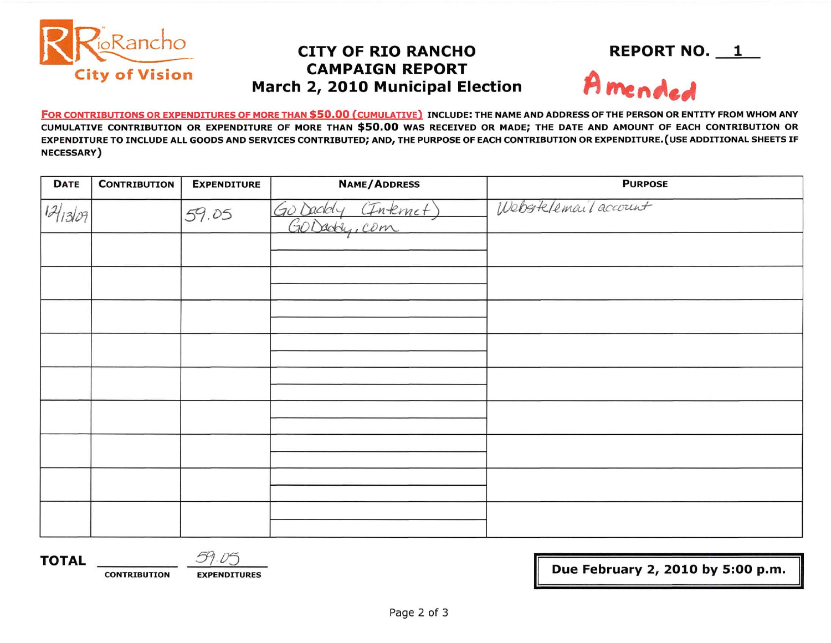

## **CAMPAIGN REPORT March 2, 2010 Municipal Election**



FOR CONTRIBUTIONS OR EXPENDITURES OF MORE THAN \$50.00 (CUMULATIVE) INCLUDE: THE NAME AND ADDRESS OF THE PERSON OR ENTITY FROM WHOM ANY CUMULATIVE CONTRIBUTION OR EXPENDITURE OF MORE THAN \$50.00 WAS RECEIVED OR MADE; THE DATE AND AMOUNT OF EACH CONTRIBUTION OR EXPENDITURE TO INCLUDE ALL GOODS AND SERVICES CONTRIBUTED; AND, THE PURPOSE OF EACH CONTRIBUTION OR EXPENDITURE. (USE ADDITIONAL SHEETS IF NECESSARY)

| <b>DATE</b> | <b>CONTRIBUTION</b> | <b>EXPENDITURE</b> | <b>NAME/ADDRESS</b>            | <b>PURPOSE</b>       |
|-------------|---------------------|--------------------|--------------------------------|----------------------|
| 12/1309     |                     | 59.05              | O Daddy (Internet)<br>Go Daddy | Webstelemail account |
|             |                     |                    |                                |                      |
|             |                     |                    |                                |                      |
|             |                     |                    |                                |                      |
|             |                     |                    |                                |                      |
|             |                     |                    |                                |                      |
|             |                     |                    |                                |                      |
|             |                     |                    |                                |                      |
|             |                     |                    |                                |                      |
|             |                     |                    |                                |                      |

**TOTAL** *5105* 

**CONTRIBUTION EXPENDITURES** 

<sup>~</sup>**Due February 2, 2010 by 5:00** p.m.

II